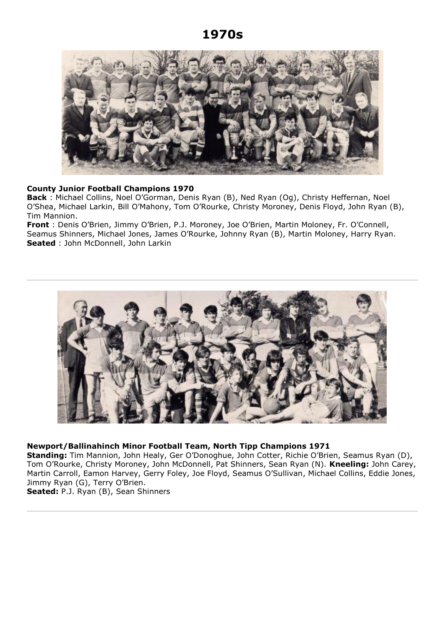# **1970s**



# **County Junior Football Champions 1970**

**Back** : Michael Collins, Noel O'Gorman, Denis Ryan (B), Ned Ryan (Og), Christy Heffernan, Noel O'Shea, Michael Larkin, Bill O'Mahony, Tom O'Rourke, Christy Moroney, Denis Floyd, John Ryan (B), Tim Mannion.

**Front** : Denis O'Brien, Jimmy O'Brien, P.J. Moroney, Joe O'Brien, Martin Moloney, Fr. O'Connell, Seamus Shinners, Michael Jones, James O'Rourke, Johnny Ryan (B), Martin Moloney, Harry Ryan. **Seated** : John McDonnell, John Larkin



# **Newport/Ballinahinch Minor Football Team, North Tipp Champions 1971**

**Standing:** Tim Mannion, John Healy, Ger O'Donoghue, John Cotter, Richie O'Brien, Seamus Ryan (D), Tom O'Rourke, Christy Moroney, John McDonnell, Pat Shinners, Sean Ryan (N). **Kneeling:** John Carey, Martin Carroll, Eamon Harvey, Gerry Foley, Joe Floyd, Seamus O'Sullivan, Michael Collins, Eddie Jones, Jimmy Ryan (G), Terry O'Brien.

**Seated:** P.J. Ryan (B), Sean Shinners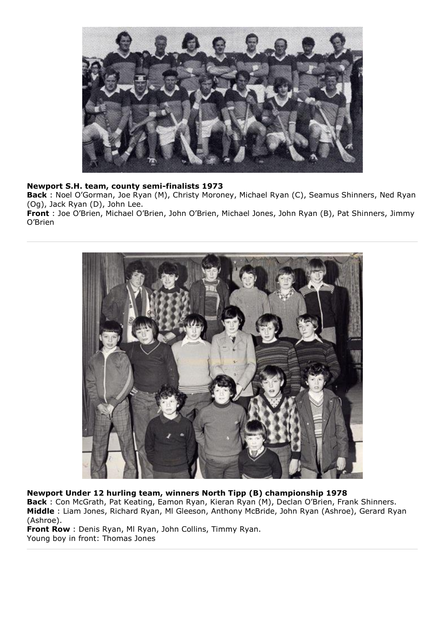

# **Newport S.H. team, county semi-finalists 1973**

**Back** : Noel O'Gorman, Joe Ryan (M), Christy Moroney, Michael Ryan (C), Seamus Shinners, Ned Ryan (Og), Jack Ryan (D), John Lee.

**Front** : Joe O'Brien, Michael O'Brien, John O'Brien, Michael Jones, John Ryan (B), Pat Shinners, Jimmy O'Brien



**Newport Under 12 hurling team, winners North Tipp (B) championship 1978 Back** : Con McGrath, Pat Keating, Eamon Ryan, Kieran Ryan (M), Declan O'Brien, Frank Shinners. **Middle** : Liam Jones, Richard Ryan, Ml Gleeson, Anthony McBride, John Ryan (Ashroe), Gerard Ryan (Ashroe).

**Front Row** : Denis Ryan, Ml Ryan, John Collins, Timmy Ryan. Young boy in front: Thomas Jones